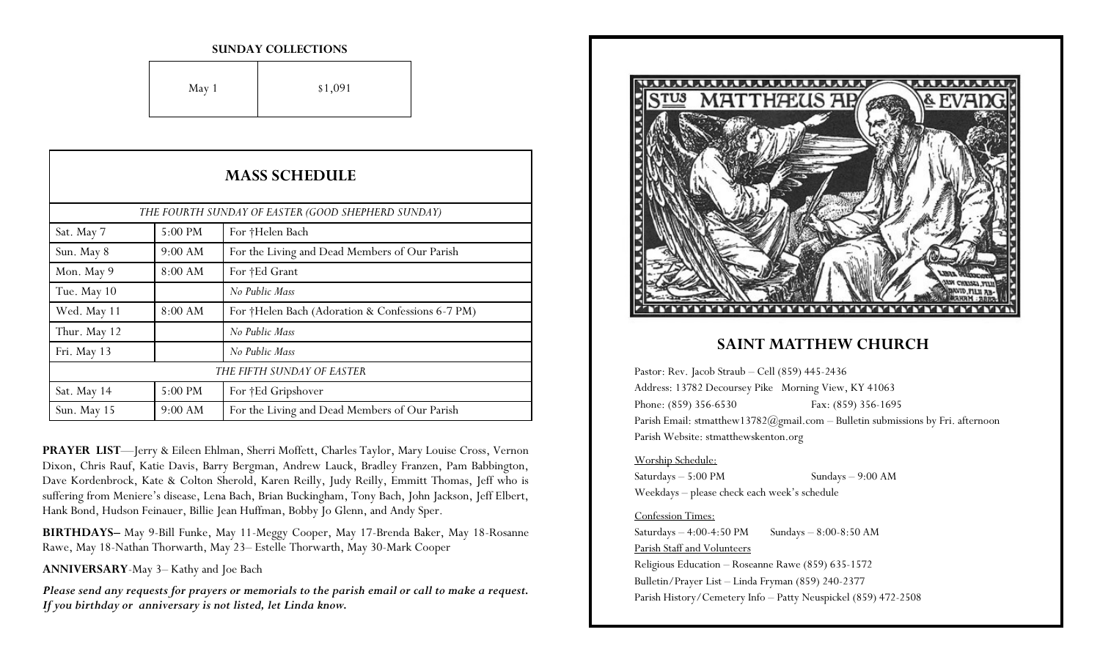#### **SUNDAY COLLECTIONS**

| May 1 | \$1,091 |
|-------|---------|
|-------|---------|

| <b>MASS SCHEDULE</b>                               |         |                                                  |
|----------------------------------------------------|---------|--------------------------------------------------|
| THE FOURTH SUNDAY OF EASTER (GOOD SHEPHERD SUNDAY) |         |                                                  |
| Sat. May 7                                         | 5:00 PM | For †Helen Bach                                  |
| Sun. May 8                                         | 9:00 AM | For the Living and Dead Members of Our Parish    |
| Mon. May 9                                         | 8:00 AM | For †Ed Grant                                    |
| Tue. May 10                                        |         | No Public Mass                                   |
| Wed. May 11                                        | 8:00 AM | For †Helen Bach (Adoration & Confessions 6-7 PM) |
| Thur. May 12                                       |         | No Public Mass                                   |
| Fri. May 13                                        |         | No Public Mass                                   |
| THE FIFTH SUNDAY OF EASTER                         |         |                                                  |
| Sat. May 14                                        | 5:00 PM | For †Ed Gripshover                               |
| Sun. May 15                                        | 9:00 AM | For the Living and Dead Members of Our Parish    |

**PRAYER LIST**—Jerry & Eileen Ehlman, Sherri Moffett, Charles Taylor, Mary Louise Cross, Vernon Dixon, Chris Rauf, Katie Davis, Barry Bergman, Andrew Lauck, Bradley Franzen, Pam Babbington, Dave Kordenbrock, Kate & Colton Sherold, Karen Reilly, Judy Reilly, Emmitt Thomas, Jeff who is suffering from Meniere's disease, Lena Bach, Brian Buckingham, Tony Bach, John Jackson, Jeff Elbert, Hank Bond, Hudson Feinauer, Billie Jean Huffman, Bobby Jo Glenn, and Andy Sper.

**BIRTHDAYS–** May 9-Bill Funke, May 11-Meggy Cooper, May 17-Brenda Baker, May 18-Rosanne Rawe, May 18-Nathan Thorwarth, May 23– Estelle Thorwarth, May 30-Mark Cooper

**ANNIVERSARY**-May 3– Kathy and Joe Bach

*Please send any requests for prayers or memorials to the parish email or call to make a request. If you birthday or anniversary is not listed, let Linda know.*



## **SAINT MATTHEW CHURCH**

Pastor: Rev. Jacob Straub – Cell (859) 445-2436 Address: 13782 Decoursey Pike Morning View, KY 41063 Phone: (859) 356-6530 Fax: (859) 356-1695 Parish Email: stmatthew13782@gmail.com - Bulletin submissions by Fri. afternoon Parish Website: stmatthewskenton.org

#### Worship Schedule:

Saturdays – 5:00 PM Sundays – 9:00 AM Weekdays – please check each week's schedule

### Confession Times:

Saturdays  $-4:00-4:50 \text{ PM}$  Sundays  $-8:00-8:50 \text{ AM}$ Parish Staff and Volunteers Religious Education – Roseanne Rawe (859) 635-1572 Bulletin/Prayer List – Linda Fryman (859) 240-2377 Parish History/Cemetery Info – Patty Neuspickel (859) 472-2508